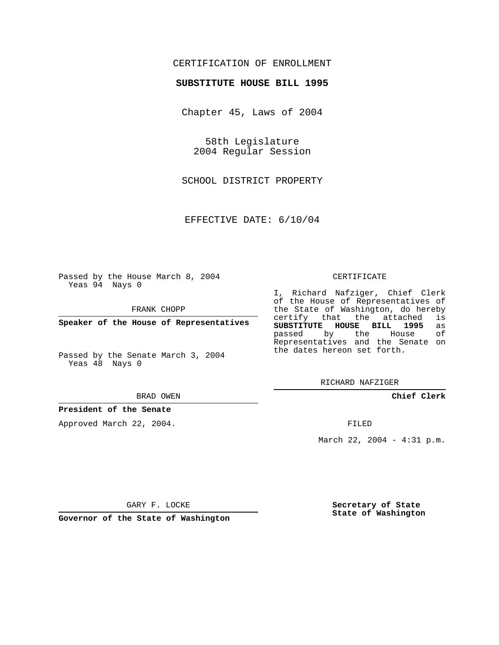## CERTIFICATION OF ENROLLMENT

### **SUBSTITUTE HOUSE BILL 1995**

Chapter 45, Laws of 2004

58th Legislature 2004 Regular Session

SCHOOL DISTRICT PROPERTY

EFFECTIVE DATE: 6/10/04

Passed by the House March 8, 2004 Yeas 94 Nays 0

FRANK CHOPP

**Speaker of the House of Representatives**

Passed by the Senate March 3, 2004 Yeas 48 Nays 0

#### BRAD OWEN

### **President of the Senate**

Approved March 22, 2004.

#### CERTIFICATE

I, Richard Nafziger, Chief Clerk of the House of Representatives of the State of Washington, do hereby<br>certify that the attached is certify that the attached **SUBSTITUTE HOUSE BILL 1995** as passed by the House Representatives and the Senate on the dates hereon set forth.

RICHARD NAFZIGER

**Chief Clerk**

FILED

March 22, 2004 - 4:31 p.m.

GARY F. LOCKE

**Governor of the State of Washington**

**Secretary of State State of Washington**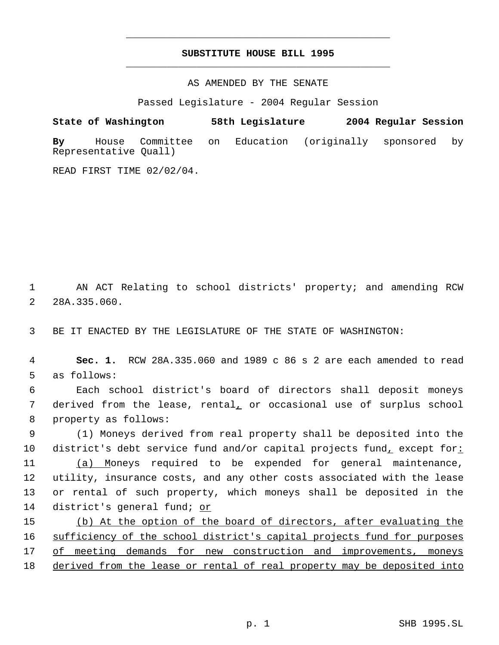# **SUBSTITUTE HOUSE BILL 1995** \_\_\_\_\_\_\_\_\_\_\_\_\_\_\_\_\_\_\_\_\_\_\_\_\_\_\_\_\_\_\_\_\_\_\_\_\_\_\_\_\_\_\_\_\_

\_\_\_\_\_\_\_\_\_\_\_\_\_\_\_\_\_\_\_\_\_\_\_\_\_\_\_\_\_\_\_\_\_\_\_\_\_\_\_\_\_\_\_\_\_

AS AMENDED BY THE SENATE

Passed Legislature - 2004 Regular Session

**State of Washington 58th Legislature 2004 Regular Session By** House Committee on Education (originally sponsored by Representative Quall)

READ FIRST TIME 02/02/04.

 1 AN ACT Relating to school districts' property; and amending RCW 2 28A.335.060.

3 BE IT ENACTED BY THE LEGISLATURE OF THE STATE OF WASHINGTON:

 4 **Sec. 1.** RCW 28A.335.060 and 1989 c 86 s 2 are each amended to read 5 as follows:

 6 Each school district's board of directors shall deposit moneys 7 derived from the lease, rental, or occasional use of surplus school 8 property as follows:

 (1) Moneys derived from real property shall be deposited into the district's debt service fund and/or capital projects fund, except for: (a) Moneys required to be expended for general maintenance, utility, insurance costs, and any other costs associated with the lease or rental of such property, which moneys shall be deposited in the district's general fund; or

15 (b) At the option of the board of directors, after evaluating the 16 sufficiency of the school district's capital projects fund for purposes 17 of meeting demands for new construction and improvements, moneys 18 derived from the lease or rental of real property may be deposited into